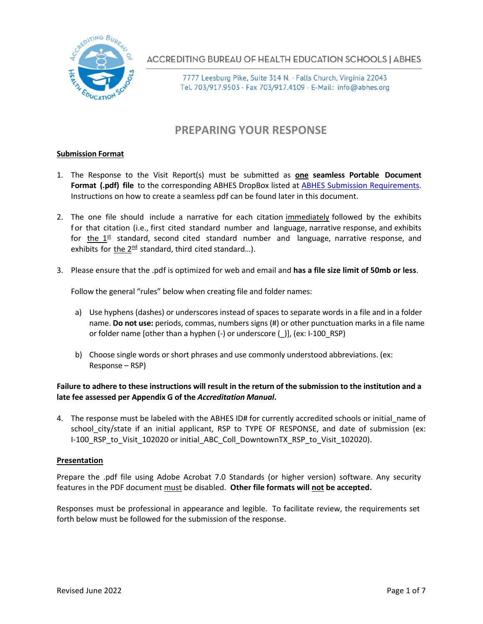

**ACCREDITING BUREAU OF HEALTH EDUCATION SCHOOLS | ABHES** 

7777 Leesburg Pike, Suite 314 N. · Falls Church, Virginia 22043 Tel. 703/917.9503 · Fax 703/917.4109 · E-Mail: info@abhes.org

## **PREPARING YOUR RESPONSE**

### **Submission Format**

- 1. The Response to the Visit Report(s) must be submitted as **one seamless Portable Document Format (.pdf) file** to the corresponding ABHES DropBox listed at [ABHES Submission Requirements.](https://abhes.org/news_item/new-submission-requirements/) Instructions on how to create a seamless pdf can be found later in this document.
- 2. The one file should include a narrative for each citation immediately followed by the exhibits for that citation (i.e., first cited standard number and language, narrative response, and exhibits for the 1<sup>st</sup> standard, second cited standard number and language, narrative response, and exhibits for *the* 2<sup>nd</sup> standard, third cited standard...).
- 3. Please ensure that the .pdf is optimized for web and email and **has a file size limit of 50mb or less**.

Follow the general "rules" below when creating file and folder names:

- a) Use hyphens (dashes) or underscores instead of spaces to separate words in a file and in a folder name. **Do not use:** periods, commas, numbers signs (#) or other punctuation marks in a file name or folder name [other than a hyphen (-) or underscore (\_)], (ex: I-100\_RSP)
- b) Choose single words or short phrases and use commonly understood abbreviations. (ex: Response – RSP)

### **Failure to adhere to these instructions will result in the return of the submission to the institution and a late fee assessed per Appendix G of the** *Accreditation Manual***.**

4. The response must be labeled with the ABHES ID# for currently accredited schools or initial\_name of school city/state if an initial applicant, RSP to TYPE OF RESPONSE, and date of submission (ex: I-100 RSP to Visit 102020 or initial ABC Coll DowntownTX RSP to Visit 102020).

### **Presentation**

Prepare the .pdf file using Adobe Acrobat 7.0 Standards (or higher version) software. Any security features in the PDF document *must* be disabled. Other file formats will not be accepted.

Responses must be professional in appearance and legible. To facilitate review, the requirements set forth below must be followed for the submission of the response.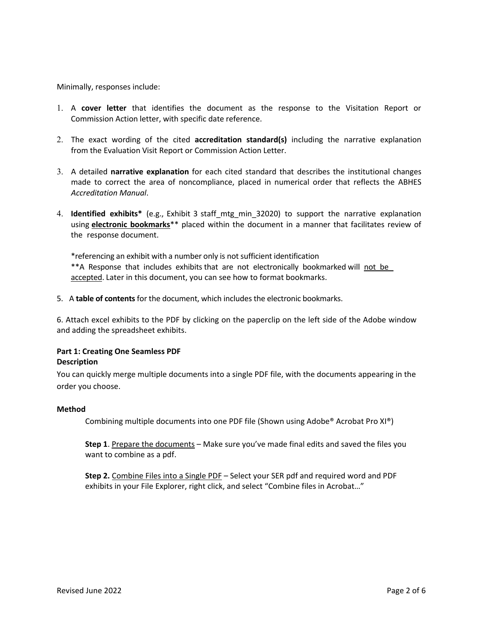Minimally, responses include:

- 1. A **cover letter** that identifies the document as the response to the Visitation Report or Commission Action letter, with specific date reference.
- 2. The exact wording of the cited **accreditation standard(s)** including the narrative explanation from the Evaluation Visit Report or Commission Action Letter.
- 3. A detailed **narrative explanation** for each cited standard that describes the institutional changes made to correct the area of noncompliance, placed in numerical order that reflects the ABHES *Accreditation Manual*.
- 4. **Identified exhibits\*** (e.g., Exhibit 3 staff\_mtg\_min\_32020) to support the narrative explanation using **electronic bookmarks**<sup>\*\*</sup> placed within the document in a manner that facilitates review of the response document.

\*referencing an exhibit with a number only is not sufficient identification \*\*A Response that includes exhibits that are not electronically bookmarked will not be accepted. Later in this document, you can see how to format bookmarks.

5. A **table of contents**for the document, which includes the electronic bookmarks.

6. Attach excel exhibits to the PDF by clicking on the paperclip on the left side of the Adobe window and adding the spreadsheet exhibits.

### **Part 1: Creating One Seamless PDF Description**

You can quickly merge multiple documents into a single PDF file, with the documents appearing in the order you choose.

### **Method**

Combining multiple documents into one PDF file (Shown using Adobe® Acrobat Pro XI®)

**Step 1**. Prepare the documents – Make sure you've made final edits and saved the files you want to combine as a pdf.

**Step 2.** Combine Files into a Single PDF – Select your SER pdf and required word and PDF exhibits in your File Explorer, right click, and select "Combine files in Acrobat…"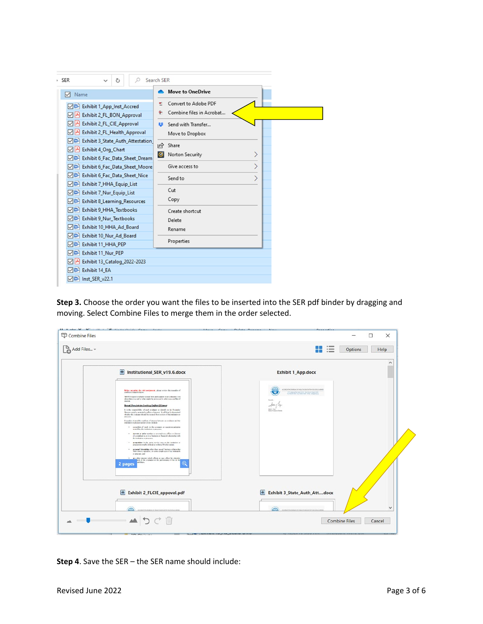| · SER<br>Ω<br>Ō                                                                                                           | Search SER                                              |  |
|---------------------------------------------------------------------------------------------------------------------------|---------------------------------------------------------|--|
| 罓<br>Name                                                                                                                 | <b>Move to OneDrive</b>                                 |  |
| <b>Mail</b> Exhibit 1_App_Inst_Accred<br>Exhibit 2_FL_BON_Approval<br>⊡⊵                                                  | <b>Convert to Adobe PDF</b><br>Combine files in Acrobat |  |
| Exhibit 2_FL_CIE_Approval<br>罓<br>Exhibit 2_FL_Health_Approval<br>⊡⊁                                                      | Send with Transfer<br>蒜<br>Move to Dropbox              |  |
| <b>DE</b> Exhibit 3_State_Auth_Attestation<br>Exhibit 4_Org_Chart<br> v <br>O <sup>m</sup> Exhibit 6_Fac_Data_Sheet_Dream | $\Rightarrow$<br>Share<br>Norton Security<br> ⊗         |  |
| <b>DE</b> Exhibit 6_Fac_Data_Sheet_Moore<br><b>DO</b> Exhibit 6_Fac_Data_Sheet_Nice                                       | Give access to                                          |  |
| <b>Mail</b> Exhibit 7_HHA_Equip_List<br><b>Mail</b> Exhibit 7_Nur_Equip_List<br><b>Mail</b> Exhibit 8_Learning_Resources  | Send to<br>Cut<br>Copy                                  |  |
| <b>Mail</b> Exhibit 9_HHA_Textbooks<br>□ Exhibit 9 Nur Textbooks<br>D Board                                               | Create shortcut<br>Delete<br>Rename                     |  |
| <b>D</b> <sup>m</sup> Exhibit 10 Nur Ad Board<br>□□ Exhibit 11_HHA_PEP                                                    | Properties                                              |  |
| □□ Exhibit 11 Nur PEP<br>Exhibit 13_Catalog_2022-2023<br> v <br><b>D</b> Exhibit 14_EA<br>Du-Inst_SER_v22.1               |                                                         |  |

**Step 3.** Choose the order you want the files to be inserted into the SER pdf binder by dragging and moving. Select Combine Files to merge them in the order selected.

| Institutional_SER_v19.6.docx                                                                                                                                                                                                                                                                                                                                                                                                                                                                                                                                                                                                                                                                                                                                                                                                                                                                                                                                                                                                                                                                                                                                                                                                                                                                               |                                                                                                                                                                            | $\hat{\phantom{a}}$ |
|------------------------------------------------------------------------------------------------------------------------------------------------------------------------------------------------------------------------------------------------------------------------------------------------------------------------------------------------------------------------------------------------------------------------------------------------------------------------------------------------------------------------------------------------------------------------------------------------------------------------------------------------------------------------------------------------------------------------------------------------------------------------------------------------------------------------------------------------------------------------------------------------------------------------------------------------------------------------------------------------------------------------------------------------------------------------------------------------------------------------------------------------------------------------------------------------------------------------------------------------------------------------------------------------------------|----------------------------------------------------------------------------------------------------------------------------------------------------------------------------|---------------------|
|                                                                                                                                                                                                                                                                                                                                                                                                                                                                                                                                                                                                                                                                                                                                                                                                                                                                                                                                                                                                                                                                                                                                                                                                                                                                                                            | <b>Exhibit 1_App.docx</b>                                                                                                                                                  |                     |
| Before accepting the visit analysment, please seview the coargeles of<br>confictorf exercistics.<br>ARMEN shares cristador social bom percepidos en an cultural e vez.<br>when there is a real or what might be expressed by otherwise a conflict of<br>Bernad Frenchrichten Insekting Conflicts Of Journal<br>It is the responsibility of each evaluate to identify to the finantise.<br>Dente analogonoid and involving it will had columnized<br>shaker the colleans should be seemed from seview of the institution of<br>Exember of possible conflicts of interest between an evaluator and the<br>insingle o process under to be include.<br>· somethin of study in the common or manistranianism<br>antellina franciscism er precent.<br>· · · derrott or prior service as an angibrate, officer or disease<br>of considers to or in a besises or financial education side.<br>Feindigion or process.<br>· ampetition in the west service sets as the incidation or<br>psyciolwoulk deleable within Monkratek.<br>· presel friendrip ofte the anal hairce education<br>with context operators, or senior employees of the institution<br>in presence and<br>· any other issuest which affects or may affect the objective<br>lest of the evaluator or the performance of his or her<br>dalian.<br>О | ACCREDITING BUREAU OF HEALTH EQUIDATION SENDING AND ALL<br>$\overline{a}$<br>THE LANGuage Plate State States, Publishers, Proper 20201<br>follows<br>san funnying language |                     |
| Exhibit 2_FLCIE_appoval.pdf<br>CRIMING BUILD OF HEATHER CATCH SCHOOL LINES                                                                                                                                                                                                                                                                                                                                                                                                                                                                                                                                                                                                                                                                                                                                                                                                                                                                                                                                                                                                                                                                                                                                                                                                                                 | Œ<br>Exhibit 3_State_Auth_Attdocx<br>CONTROLLER OF HIS THOUGHT KNOCK                                                                                                       | $\checkmark$        |
|                                                                                                                                                                                                                                                                                                                                                                                                                                                                                                                                                                                                                                                                                                                                                                                                                                                                                                                                                                                                                                                                                                                                                                                                                                                                                                            |                                                                                                                                                                            |                     |

**Step 4**. Save the SER – the SER name should include: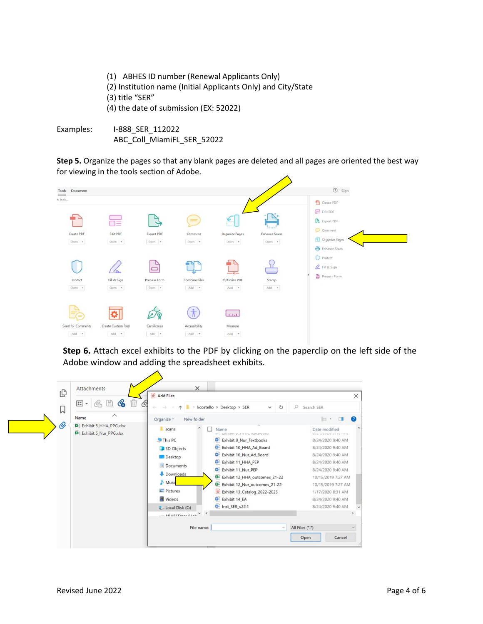- (1) ABHES ID number (Renewal Applicants Only) (2) Institution name (Initial Applicants Only) and City/State (3) title "SER" (4) the date of submission (EX: 52022)
- Examples: I-888\_SER\_112022 ABC\_Coll\_MiamiFL\_SER\_52022

**Step 5.** Organize the pages so that any blank pages are deleted and all pages are oriented the best way for viewing in the tools section of Adobe.



**Step 6.** Attach excel exhibits to the PDF by clicking on the paperclip on the left side of the Adobe window and adding the spreadsheet exhibits.

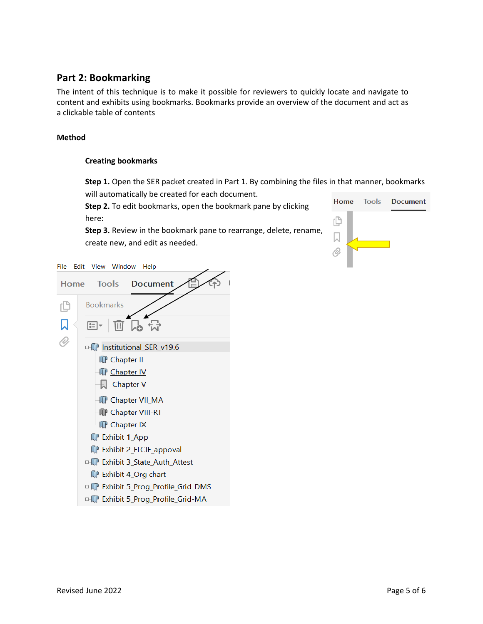### **Part 2: Bookmarking**

The intent of this technique is to make it possible for reviewers to quickly locate and navigate to content and exhibits using bookmarks. Bookmarks provide an overview of the document and act as a clickable table of contents

### **Method**

### **Creating bookmarks**

**Step 1.** Open the SER packet created in Part 1. By combining the files in that manner, bookmarks will automatically be created for each document.

**Step 2.** To edit bookmarks, open the bookmark pane by clicking here:

**Step 3.** Review in the bookmark pane to rearrange, delete, rename, create new, and edit as needed.

|  | Home Tools Document |
|--|---------------------|
|  |                     |
|  |                     |
|  |                     |

File Edit View Window Help

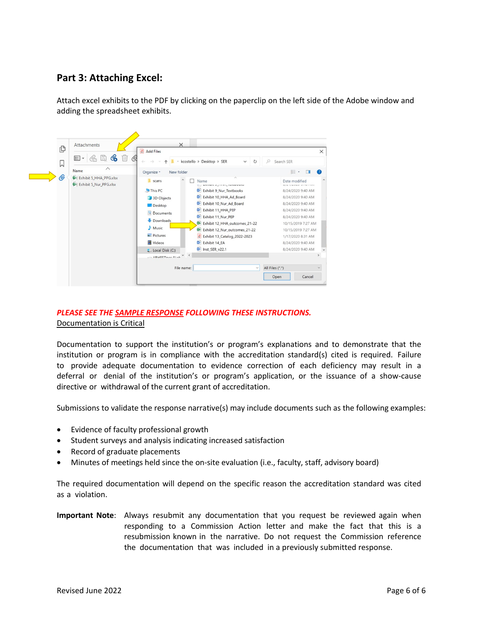### **Part 3: Attaching Excel:**

Attach excel exhibits to the PDF by clicking on the paperclip on the left side of the Adobe window and adding the spreadsheet exhibits.



### *PLEASE SEE THE SAMPLE RESPONSE FOLLOWING THESE INSTRUCTIONS.* Documentation is Critical

Documentation to support the institution's or program's explanations and to demonstrate that the institution or program is in compliance with the accreditation standard(s) cited is required. Failure to provide adequate documentation to evidence correction of each deficiency may result in a deferral or denial of the institution's or program's application, or the issuance of a show-cause directive or withdrawal of the current grant of accreditation.

Submissions to validate the response narrative(s) may include documents such as the following examples:

- Evidence of faculty professional growth
- Student surveys and analysis indicating increased satisfaction
- Record of graduate placements
- Minutes of meetings held since the on-site evaluation (i.e., faculty, staff, advisory board)

The required documentation will depend on the specific reason the accreditation standard was cited as a violation.

**Important Note**: Always resubmit any documentation that you request be reviewed again when responding to a Commission Action letter and make the fact that this is a resubmission known in the narrative. Do not request the Commission reference the documentation that was included in a previously submitted response.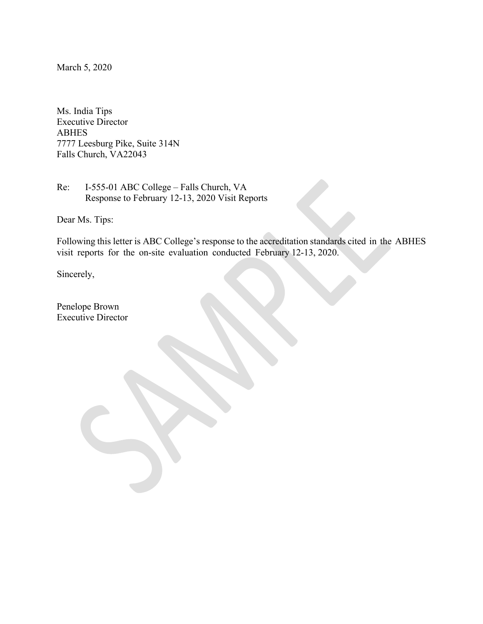March 5, 2020

Ms. India Tips Executive Director ABHES 7777 Leesburg Pike, Suite 314N Falls Church, VA22043

Re: I-555-01 ABC College – Falls Church, VA Response to February 12-13, 2020 Visit Reports

Dear Ms. Tips:

Following this letter is ABC College's response to the accreditation standards cited in the ABHES visit reports for the on-site evaluation conducted February 12-13, 2020.

Sincerely,

Penelope Brown Executive Director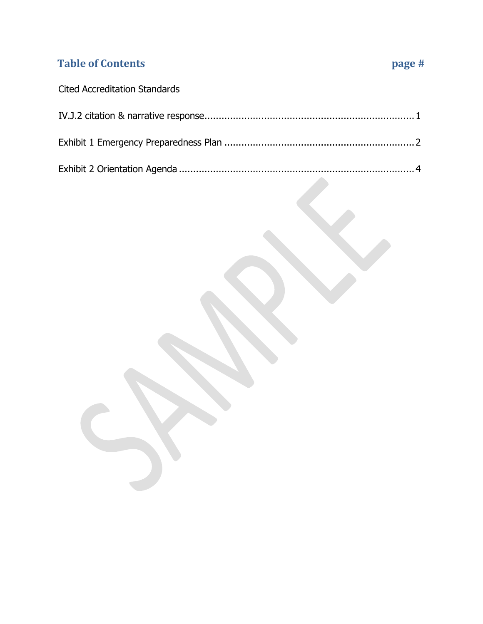# **Table of Contents page #**

# Cited Accreditation Standards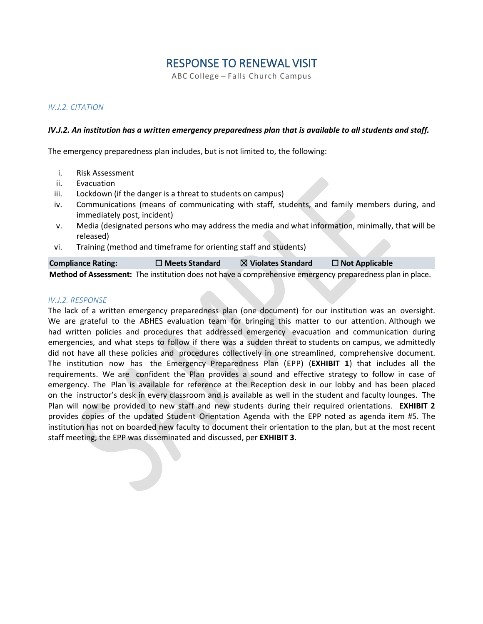### RESPONSE TO RENEWAL VISIT

ABC College – Falls Church Campus

### *IV.J.2. CITATION*

### *IV.J.2. An institution has a written emergency preparedness plan that is available to all students and staff.*

The emergency preparedness plan includes, but is not limited to, the following:

- i. Risk Assessment
- ii. Evacuation
- iii. Lockdown (if the danger is a threat to students on campus)
- iv. Communications (means of communicating with staff, students, and family members during, and immediately post, incident)
- v. Media (designated persons who may address the media and what information, minimally, that will be released)
- vi. Training (method and timeframe for orienting staff and students)

| <b>Compliance Rating:</b> | $\Box$ Meets Standard | $\boxtimes$ Violates Standard | $\Box$ Not Applicable                                                                                     |
|---------------------------|-----------------------|-------------------------------|-----------------------------------------------------------------------------------------------------------|
|                           |                       |                               | Method of Assessment: The institution does not have a comprehensive emergency preparedness plan in place. |

### *IV.J.2. RESPONSE*

The lack of a written emergency preparedness plan (one document) for our institution was an oversight. We are grateful to the ABHES evaluation team for bringing this matter to our attention. Although we had written policies and procedures that addressed emergency evacuation and communication during emergencies, and what steps to follow if there was a sudden threat to students on campus, we admittedly did not have all these policies and procedures collectively in one streamlined, comprehensive document. The institution now has the Emergency Preparedness Plan (EPP) (**EXHIBIT 1**) that includes all the requirements. We are confident the Plan provides a sound and effective strategy to follow in case of emergency. The Plan is available for reference at the Reception desk in our lobby and has been placed on the instructor's desk in every classroom and is available as well in the student and faculty lounges. The Plan will now be provided to new staff and new students during their required orientations. **EXHIBIT 2**  provides copies of the updated Student Orientation Agenda with the EPP noted as agenda item #5. The institution has not on boarded new faculty to document their orientation to the plan, but at the most recent staff meeting, the EPP was disseminated and discussed, per **EXHIBIT 3**.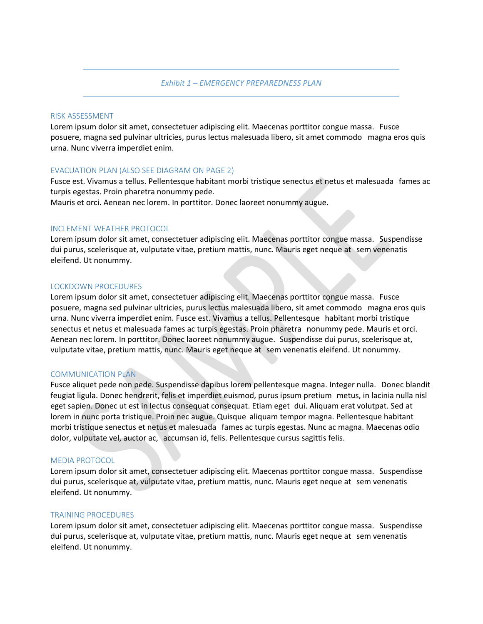*Exhibit 1 – EMERGENCY PREPAREDNESS PLAN*

### RISK ASSESSMENT

Lorem ipsum dolor sit amet, consectetuer adipiscing elit. Maecenas porttitor congue massa. Fusce posuere, magna sed pulvinar ultricies, purus lectus malesuada libero, sit amet commodo magna eros quis urna. Nunc viverra imperdiet enim.

### EVACUATION PLAN (ALSO SEE DIAGRAM ON PAGE 2)

Fusce est. Vivamus a tellus. Pellentesque habitant morbi tristique senectus et netus et malesuada fames ac turpis egestas. Proin pharetra nonummy pede.

Mauris et orci. Aenean nec lorem. In porttitor. Donec laoreet nonummy augue.

### INCLEMENT WEATHER PROTOCOL

Lorem ipsum dolor sit amet, consectetuer adipiscing elit. Maecenas porttitor congue massa. Suspendisse dui purus, scelerisque at, vulputate vitae, pretium mattis, nunc. Mauris eget neque at sem venenatis eleifend. Ut nonummy.

### LOCKDOWN PROCEDURES

Lorem ipsum dolor sit amet, consectetuer adipiscing elit. Maecenas porttitor congue massa. Fusce posuere, magna sed pulvinar ultricies, purus lectus malesuada libero, sit amet commodo magna eros quis urna. Nunc viverra imperdiet enim. Fusce est. Vivamus a tellus. Pellentesque habitant morbi tristique senectus et netus et malesuada fames ac turpis egestas. Proin pharetra nonummy pede. Mauris et orci. Aenean nec lorem. In porttitor. Donec laoreet nonummy augue. Suspendisse dui purus, scelerisque at, vulputate vitae, pretium mattis, nunc. Mauris eget neque at sem venenatis eleifend. Ut nonummy.

### COMMUNICATION PLAN

Fusce aliquet pede non pede. Suspendisse dapibus lorem pellentesque magna. Integer nulla. Donec blandit feugiat ligula. Donec hendrerit, felis et imperdiet euismod, purus ipsum pretium metus, in lacinia nulla nisl eget sapien. Donec ut est in lectus consequat consequat. Etiam eget dui. Aliquam erat volutpat. Sed at lorem in nunc porta tristique. Proin nec augue. Quisque aliquam tempor magna. Pellentesque habitant morbi tristique senectus et netus et malesuada fames ac turpis egestas. Nunc ac magna. Maecenas odio dolor, vulputate vel, auctor ac, accumsan id, felis. Pellentesque cursus sagittis felis.

#### MEDIA PROTOCOL

Lorem ipsum dolor sit amet, consectetuer adipiscing elit. Maecenas porttitor congue massa. Suspendisse dui purus, scelerisque at, vulputate vitae, pretium mattis, nunc. Mauris eget neque at sem venenatis eleifend. Ut nonummy.

### TRAINING PROCEDURES

Lorem ipsum dolor sit amet, consectetuer adipiscing elit. Maecenas porttitor congue massa. Suspendisse dui purus, scelerisque at, vulputate vitae, pretium mattis, nunc. Mauris eget neque at sem venenatis eleifend. Ut nonummy.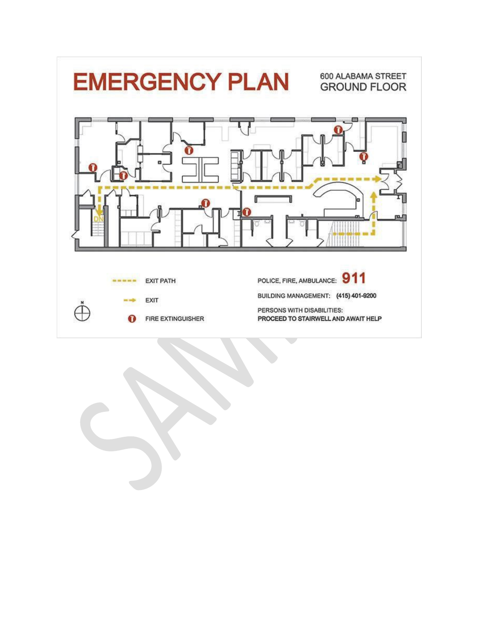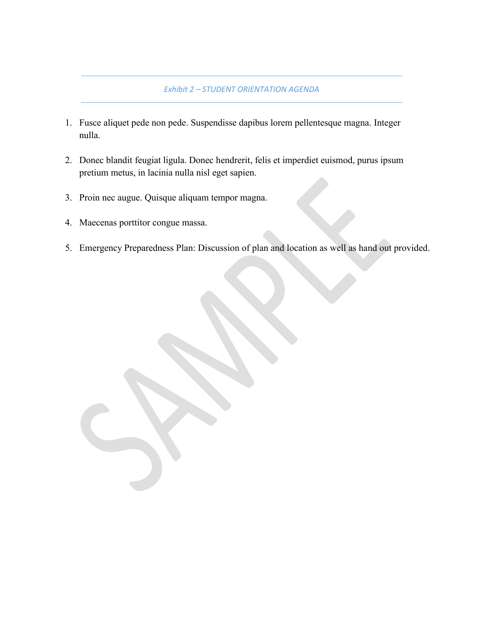### *Exhibit 2 – STUDENT ORIENTATION AGENDA*

- 1. Fusce aliquet pede non pede. Suspendisse dapibus lorem pellentesque magna. Integer nulla.
- 2. Donec blandit feugiat ligula. Donec hendrerit, felis et imperdiet euismod, purus ipsum pretium metus, in lacinia nulla nisl eget sapien.
- 3. Proin nec augue. Quisque aliquam tempor magna.
- 4. Maecenas porttitor congue massa.
- 5. Emergency Preparedness Plan: Discussion of plan and location as well as hand out provided.